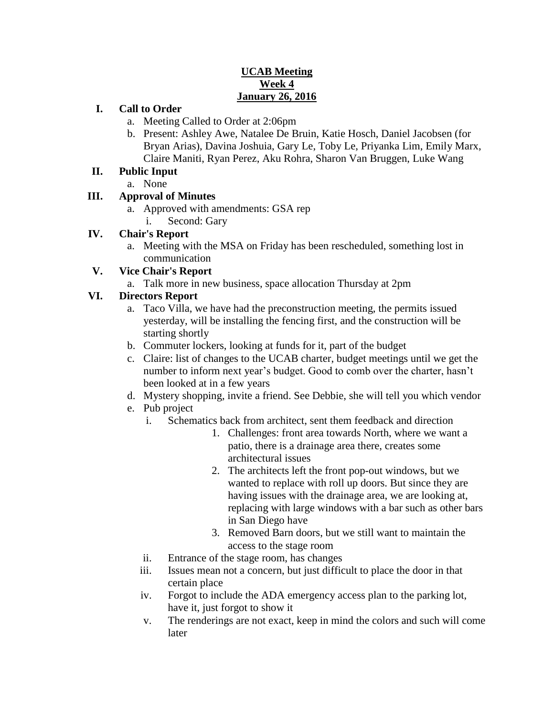### **UCAB Meeting Week 4 January 26, 2016**

### **I. Call to Order**

- a. Meeting Called to Order at 2:06pm
- b. Present: Ashley Awe, Natalee De Bruin, Katie Hosch, Daniel Jacobsen (for Bryan Arias), Davina Joshuia, Gary Le, Toby Le, Priyanka Lim, Emily Marx, Claire Maniti, Ryan Perez, Aku Rohra, Sharon Van Bruggen, Luke Wang

### **II. Public Input**

a. None

# **III. Approval of Minutes**

- a. Approved with amendments: GSA rep
	- i. Second: Gary

### **IV. Chair's Report**

a. Meeting with the MSA on Friday has been rescheduled, something lost in communication

# **V. Vice Chair's Report**

a. Talk more in new business, space allocation Thursday at 2pm

# **VI. Directors Report**

- a. Taco Villa, we have had the preconstruction meeting, the permits issued yesterday, will be installing the fencing first, and the construction will be starting shortly
- b. Commuter lockers, looking at funds for it, part of the budget
- c. Claire: list of changes to the UCAB charter, budget meetings until we get the number to inform next year's budget. Good to comb over the charter, hasn't been looked at in a few years
- d. Mystery shopping, invite a friend. See Debbie, she will tell you which vendor
- e. Pub project
	- i. Schematics back from architect, sent them feedback and direction
		- 1. Challenges: front area towards North, where we want a patio, there is a drainage area there, creates some architectural issues
		- 2. The architects left the front pop-out windows, but we wanted to replace with roll up doors. But since they are having issues with the drainage area, we are looking at, replacing with large windows with a bar such as other bars in San Diego have
		- 3. Removed Barn doors, but we still want to maintain the access to the stage room
	- ii. Entrance of the stage room, has changes
	- iii. Issues mean not a concern, but just difficult to place the door in that certain place
	- iv. Forgot to include the ADA emergency access plan to the parking lot, have it, just forgot to show it
	- v. The renderings are not exact, keep in mind the colors and such will come later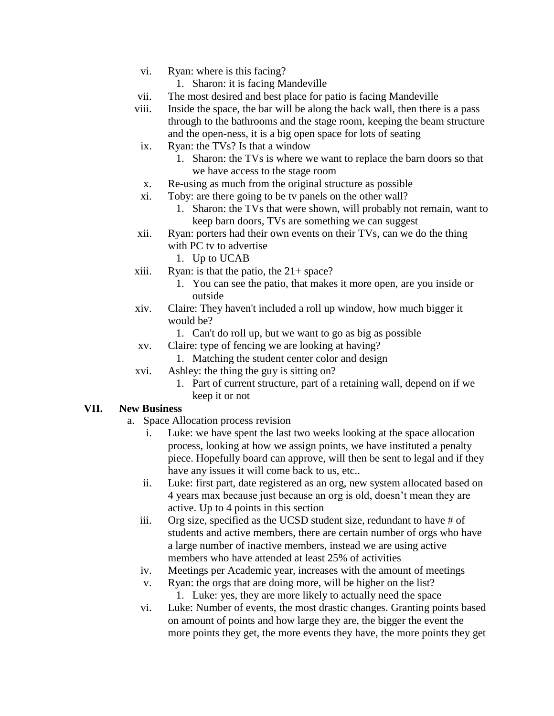- vi. Ryan: where is this facing?
	- 1. Sharon: it is facing Mandeville
- vii. The most desired and best place for patio is facing Mandeville
- viii. Inside the space, the bar will be along the back wall, then there is a pass through to the bathrooms and the stage room, keeping the beam structure and the open-ness, it is a big open space for lots of seating
- ix. Ryan: the TVs? Is that a window
	- 1. Sharon: the TVs is where we want to replace the barn doors so that we have access to the stage room
- x. Re-using as much from the original structure as possible
- xi. Toby: are there going to be tv panels on the other wall?
	- 1. Sharon: the TVs that were shown, will probably not remain, want to keep barn doors, TVs are something we can suggest
- xii. Ryan: porters had their own events on their TVs, can we do the thing with PC tv to advertise
	- 1. Up to UCAB
- xiii. Ryan: is that the patio, the  $21 + space?$ 
	- 1. You can see the patio, that makes it more open, are you inside or outside
- xiv. Claire: They haven't included a roll up window, how much bigger it would be?
	- 1. Can't do roll up, but we want to go as big as possible
- xv. Claire: type of fencing we are looking at having?
	- 1. Matching the student center color and design
- xvi. Ashley: the thing the guy is sitting on?
	- 1. Part of current structure, part of a retaining wall, depend on if we keep it or not

#### **VII. New Business**

- a. Space Allocation process revision
	- i. Luke: we have spent the last two weeks looking at the space allocation process, looking at how we assign points, we have instituted a penalty piece. Hopefully board can approve, will then be sent to legal and if they have any issues it will come back to us, etc..
	- ii. Luke: first part, date registered as an org, new system allocated based on 4 years max because just because an org is old, doesn't mean they are active. Up to 4 points in this section
	- iii. Org size, specified as the UCSD student size, redundant to have # of students and active members, there are certain number of orgs who have a large number of inactive members, instead we are using active members who have attended at least 25% of activities
	- iv. Meetings per Academic year, increases with the amount of meetings
	- v. Ryan: the orgs that are doing more, will be higher on the list? 1. Luke: yes, they are more likely to actually need the space
	- vi. Luke: Number of events, the most drastic changes. Granting points based on amount of points and how large they are, the bigger the event the more points they get, the more events they have, the more points they get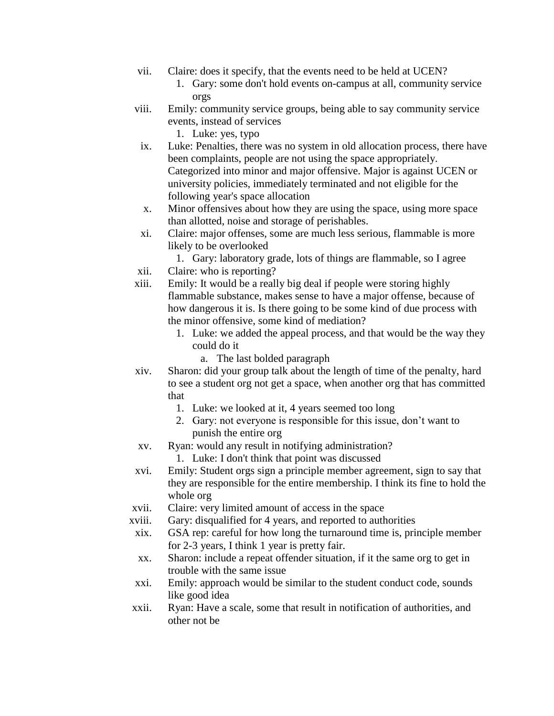- vii. Claire: does it specify, that the events need to be held at UCEN?
	- 1. Gary: some don't hold events on-campus at all, community service orgs
- viii. Emily: community service groups, being able to say community service events, instead of services
	- 1. Luke: yes, typo
- ix. Luke: Penalties, there was no system in old allocation process, there have been complaints, people are not using the space appropriately. Categorized into minor and major offensive. Major is against UCEN or university policies, immediately terminated and not eligible for the following year's space allocation
- x. Minor offensives about how they are using the space, using more space than allotted, noise and storage of perishables.
- xi. Claire: major offenses, some are much less serious, flammable is more likely to be overlooked
	- 1. Gary: laboratory grade, lots of things are flammable, so I agree
- xii. Claire: who is reporting?
- xiii. Emily: It would be a really big deal if people were storing highly flammable substance, makes sense to have a major offense, because of how dangerous it is. Is there going to be some kind of due process with the minor offensive, some kind of mediation?
	- 1. Luke: we added the appeal process, and that would be the way they could do it
		- a. The last bolded paragraph
- xiv. Sharon: did your group talk about the length of time of the penalty, hard to see a student org not get a space, when another org that has committed that
	- 1. Luke: we looked at it, 4 years seemed too long
	- 2. Gary: not everyone is responsible for this issue, don't want to punish the entire org
- xv. Ryan: would any result in notifying administration?
	- 1. Luke: I don't think that point was discussed
- xvi. Emily: Student orgs sign a principle member agreement, sign to say that they are responsible for the entire membership. I think its fine to hold the whole org
- xvii. Claire: very limited amount of access in the space
- xviii. Gary: disqualified for 4 years, and reported to authorities
- xix. GSA rep: careful for how long the turnaround time is, principle member for 2-3 years, I think 1 year is pretty fair.
- xx. Sharon: include a repeat offender situation, if it the same org to get in trouble with the same issue
- xxi. Emily: approach would be similar to the student conduct code, sounds like good idea
- xxii. Ryan: Have a scale, some that result in notification of authorities, and other not be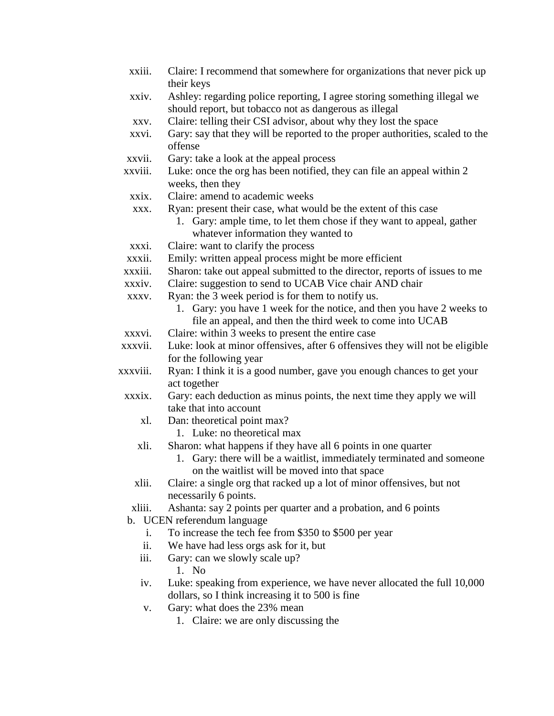- xxiii. Claire: I recommend that somewhere for organizations that never pick up their keys
- xxiv. Ashley: regarding police reporting, I agree storing something illegal we should report, but tobacco not as dangerous as illegal
- xxv. Claire: telling their CSI advisor, about why they lost the space
- xxvi. Gary: say that they will be reported to the proper authorities, scaled to the offense
- xxvii. Gary: take a look at the appeal process
- xxviii. Luke: once the org has been notified, they can file an appeal within 2 weeks, then they
- xxix. Claire: amend to academic weeks
- xxx. Ryan: present their case, what would be the extent of this case
	- 1. Gary: ample time, to let them chose if they want to appeal, gather whatever information they wanted to
- xxxi. Claire: want to clarify the process
- xxxii. Emily: written appeal process might be more efficient
- xxxiii. Sharon: take out appeal submitted to the director, reports of issues to me
- xxxiv. Claire: suggestion to send to UCAB Vice chair AND chair
- xxxv. Ryan: the 3 week period is for them to notify us.
	- 1. Gary: you have 1 week for the notice, and then you have 2 weeks to file an appeal, and then the third week to come into UCAB
- xxxvi. Claire: within 3 weeks to present the entire case
- xxxvii. Luke: look at minor offensives, after 6 offensives they will not be eligible for the following year
- xxxviii. Ryan: I think it is a good number, gave you enough chances to get your act together
- xxxix. Gary: each deduction as minus points, the next time they apply we will take that into account
	- xl. Dan: theoretical point max?
		- 1. Luke: no theoretical max
	- xli. Sharon: what happens if they have all 6 points in one quarter
		- 1. Gary: there will be a waitlist, immediately terminated and someone on the waitlist will be moved into that space
	- xlii. Claire: a single org that racked up a lot of minor offensives, but not necessarily 6 points.
- xliii. Ashanta: say 2 points per quarter and a probation, and 6 points
- b. UCEN referendum language
	- i. To increase the tech fee from \$350 to \$500 per year
	- ii. We have had less orgs ask for it, but
	- iii. Gary: can we slowly scale up?
		- 1. No
	- iv. Luke: speaking from experience, we have never allocated the full 10,000 dollars, so I think increasing it to 500 is fine
	- v. Gary: what does the 23% mean
		- 1. Claire: we are only discussing the